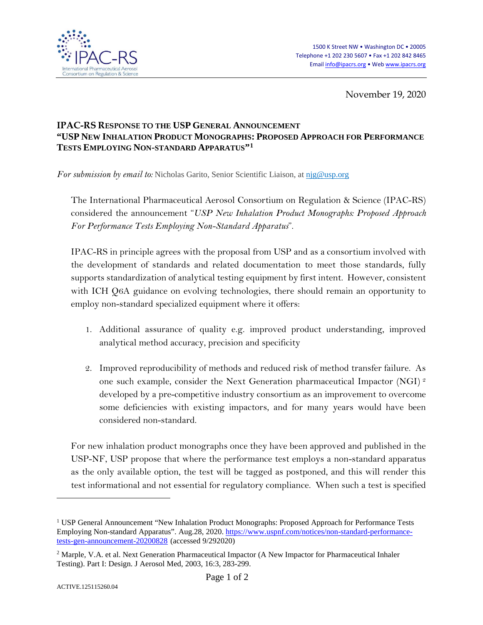

November 19, 2020

## **IPAC-RS RESPONSE TO THE USP GENERAL ANNOUNCEMENT "USP NEW INHALATION PRODUCT MONOGRAPHS: PROPOSED APPROACH FOR PERFORMANCE TESTS EMPLOYING NON-STANDARD APPARATUS"[1](#page-0-0)**

*For submission by email to:* Nicholas Garito, Senior Scientific Liaison, at [njg@usp.org](mailto:njg@usp.org)

The International Pharmaceutical Aerosol Consortium on Regulation & Science (IPAC-RS) considered the announcement "*USP New Inhalation Product Monographs: Proposed Approach For Performance Tests Employing Non-Standard Apparatus*".

IPAC-RS in principle agrees with the proposal from USP and as a consortium involved with the development of standards and related documentation to meet those standards, fully supports standardization of analytical testing equipment by first intent. However, consistent with ICH Q6A guidance on evolving technologies, there should remain an opportunity to employ non-standard specialized equipment where it offers:

- 1. Additional assurance of quality e.g. improved product understanding, improved analytical method accuracy, precision and specificity
- 2. Improved reproducibility of methods and reduced risk of method transfer failure. As one such example, consider the Next Generation pharmaceutical Impactor (NGI) [2](#page-0-1) developed by a pre-competitive industry consortium as an improvement to overcome some deficiencies with existing impactors, and for many years would have been considered non-standard.

For new inhalation product monographs once they have been approved and published in the USP-NF, USP propose that where the performance test employs a non-standard apparatus as the only available option, the test will be tagged as postponed, and this will render this test informational and not essential for regulatory compliance. When such a test is specified

 $\overline{a}$ 

<span id="page-0-0"></span><sup>1</sup> USP General Announcement "New Inhalation Product Monographs: Proposed Approach for Performance Tests Employing Non-standard Apparatus". Aug.28, 2020. [https://www.uspnf.com/notices/non-standard-performance](https://www.uspnf.com/notices/non-standard-performance-tests-gen-announcement-20200828)[tests-gen-announcement-20200828](https://www.uspnf.com/notices/non-standard-performance-tests-gen-announcement-20200828) (accessed 9/292020)

<span id="page-0-1"></span><sup>2</sup> Marple, V.A. et al. Next Generation Pharmaceutical Impactor (A New Impactor for Pharmaceutical Inhaler Testing). Part I: Design. J Aerosol Med, 2003, 16:3, 283-299.